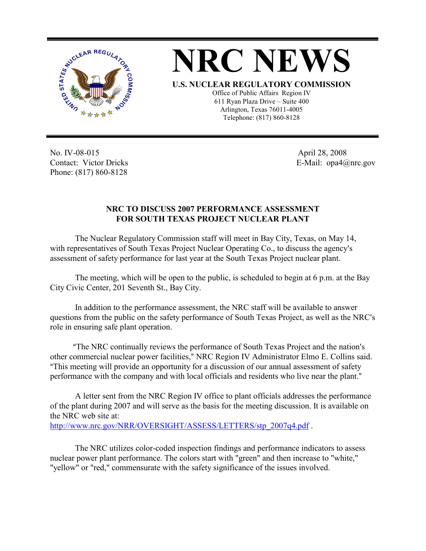



No. IV-08-015 Contact: Victor Dricks Phone: (817) 860-8128

 April 28, 2008 E-Mail: opa4@nrc.gov

## **NRC TO DISCUSS 2007 PERFORMANCE ASSESSMENT FOR SOUTH TEXAS PROJECT NUCLEAR PLANT**

The Nuclear Regulatory Commission staff will meet in Bay City, Texas, on May 14, with representatives of South Texas Project Nuclear Operating Co., to discuss the agency's assessment of safety performance for last year at the South Texas Project nuclear plant.

The meeting, which will be open to the public, is scheduled to begin at 6 p.m. at the Bay City Civic Center, 201 Seventh St., Bay City.

In addition to the performance assessment, the NRC staff will be available to answer questions from the public on the safety performance of South Texas Project, as well as the NRC's role in ensuring safe plant operation.

"The NRC continually reviews the performance of South Texas Project and the nation's other commercial nuclear power facilities," NRC Region IV Administrator Elmo E. Collins said. AThis meeting will provide an opportunity for a discussion of our annual assessment of safety performance with the company and with local officials and residents who live near the plant."

A letter sent from the NRC Region IV office to plant officials addresses the performance of the plant during 2007 and will serve as the basis for the meeting discussion. It is available on the NRC web site at: http://www.nrc.gov/NRR/OVERSIGHT/ASSESS/LETTERS/stp\_2007q4.pdf .

The NRC utilizes color-coded inspection findings and performance indicators to assess nuclear power plant performance. The colors start with "green" and then increase to "white," "yellow" or "red," commensurate with the safety significance of the issues involved.